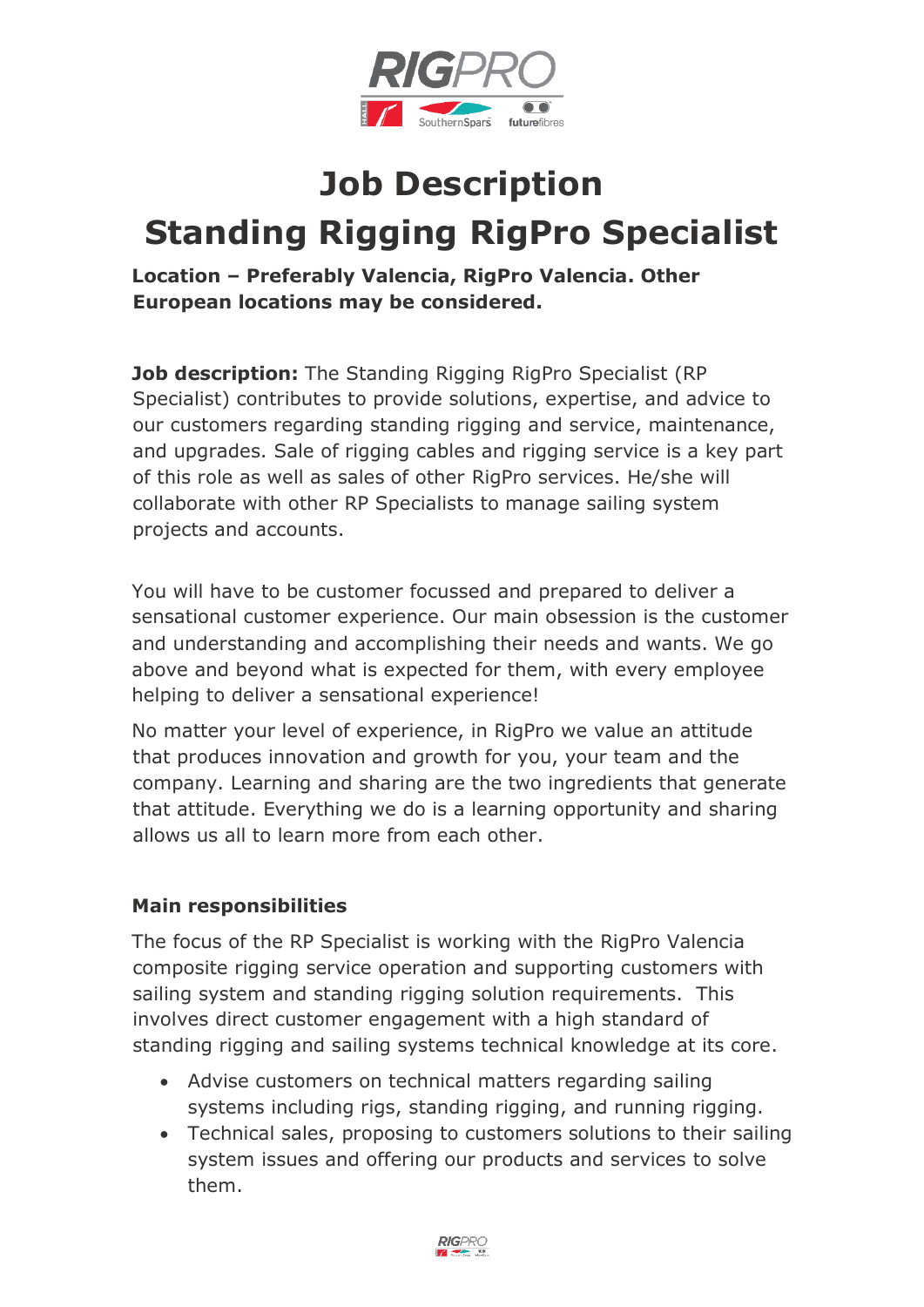

## **Job Description Standing Rigging RigPro Specialist**

**Location – Preferably Valencia, RigPro Valencia. Other European locations may be considered.**

**Job description:** The Standing Rigging RigPro Specialist (RP) Specialist) contributes to provide solutions, expertise, and advice to our customers regarding standing rigging and service, maintenance, and upgrades. Sale of rigging cables and rigging service is a key part of this role as well as sales of other RigPro services. He/she will collaborate with other RP Specialists to manage sailing system projects and accounts.

You will have to be customer focussed and prepared to deliver a sensational customer experience. Our main obsession is the customer and understanding and accomplishing their needs and wants. We go above and beyond what is expected for them, with every employee helping to deliver a sensational experience!

No matter your level of experience, in RigPro we value an attitude that produces innovation and growth for you, your team and the company. Learning and sharing are the two ingredients that generate that attitude. Everything we do is a learning opportunity and sharing allows us all to learn more from each other.

## **Main responsibilities**

The focus of the RP Specialist is working with the RigPro Valencia composite rigging service operation and supporting customers with sailing system and standing rigging solution requirements. This involves direct customer engagement with a high standard of standing rigging and sailing systems technical knowledge at its core.

- Advise customers on technical matters regarding sailing systems including rigs, standing rigging, and running rigging.
- Technical sales, proposing to customers solutions to their sailing system issues and offering our products and services to solve them.